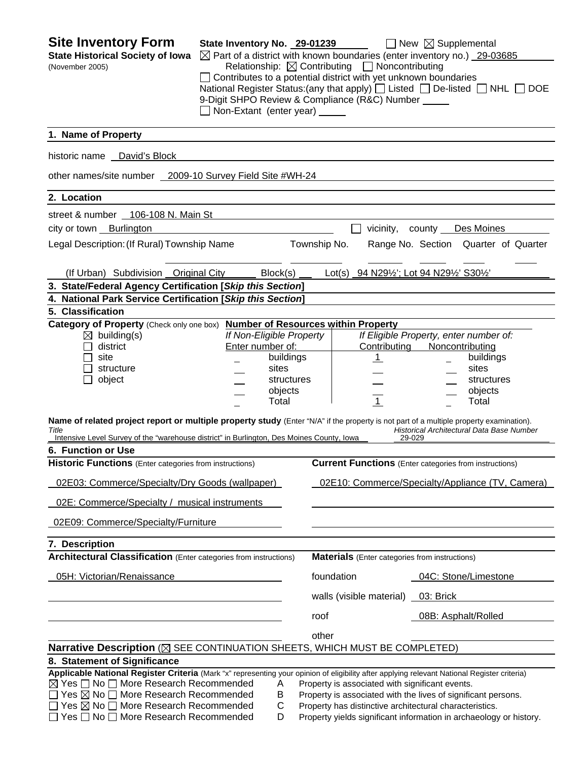| <b>Site Inventory Form</b><br><b>State Historical Society of Iowa</b><br>(November 2005)                                                                                                                                                                                                                                                                                       | State Inventory No. 29-01239<br>Non-Extant (enter year)                                              | Relationship: $\boxtimes$ Contributing $\Box$ Noncontributing<br>$\Box$ Contributes to a potential district with yet unknown boundaries<br>9-Digit SHPO Review & Compliance (R&C) Number _____ | $\Box$ New $\boxtimes$ Supplemental<br>$\boxtimes$ Part of a district with known boundaries (enter inventory no.) 29-03685<br>National Register Status: (any that apply) $\Box$ Listed $\Box$ De-listed $\Box$ NHL $\Box$ DOE |
|--------------------------------------------------------------------------------------------------------------------------------------------------------------------------------------------------------------------------------------------------------------------------------------------------------------------------------------------------------------------------------|------------------------------------------------------------------------------------------------------|------------------------------------------------------------------------------------------------------------------------------------------------------------------------------------------------|-------------------------------------------------------------------------------------------------------------------------------------------------------------------------------------------------------------------------------|
| 1. Name of Property                                                                                                                                                                                                                                                                                                                                                            |                                                                                                      |                                                                                                                                                                                                |                                                                                                                                                                                                                               |
| historic name David's Block                                                                                                                                                                                                                                                                                                                                                    |                                                                                                      |                                                                                                                                                                                                |                                                                                                                                                                                                                               |
| other names/site number 2009-10 Survey Field Site #WH-24                                                                                                                                                                                                                                                                                                                       |                                                                                                      |                                                                                                                                                                                                |                                                                                                                                                                                                                               |
| 2. Location                                                                                                                                                                                                                                                                                                                                                                    |                                                                                                      |                                                                                                                                                                                                |                                                                                                                                                                                                                               |
| street & number 106-108 N. Main St                                                                                                                                                                                                                                                                                                                                             |                                                                                                      |                                                                                                                                                                                                |                                                                                                                                                                                                                               |
| city or town Burlington                                                                                                                                                                                                                                                                                                                                                        |                                                                                                      | vicinity,                                                                                                                                                                                      | county __ Des Moines                                                                                                                                                                                                          |
| Legal Description: (If Rural) Township Name                                                                                                                                                                                                                                                                                                                                    |                                                                                                      | Township No.                                                                                                                                                                                   | Range No. Section Quarter of Quarter                                                                                                                                                                                          |
| (If Urban) Subdivision Original City Block(s)                                                                                                                                                                                                                                                                                                                                  |                                                                                                      | Lot(s) 94 N291/2'; Lot 94 N291/2' S301/2'                                                                                                                                                      |                                                                                                                                                                                                                               |
| 3. State/Federal Agency Certification [Skip this Section]                                                                                                                                                                                                                                                                                                                      |                                                                                                      |                                                                                                                                                                                                |                                                                                                                                                                                                                               |
| 4. National Park Service Certification [Skip this Section]                                                                                                                                                                                                                                                                                                                     |                                                                                                      |                                                                                                                                                                                                |                                                                                                                                                                                                                               |
| 5. Classification<br>Category of Property (Check only one box)                                                                                                                                                                                                                                                                                                                 |                                                                                                      | <b>Number of Resources within Property</b>                                                                                                                                                     |                                                                                                                                                                                                                               |
| $\boxtimes$ building(s)<br>district<br>site<br>structure<br>object                                                                                                                                                                                                                                                                                                             | If Non-Eligible Property<br>Enter number of:<br>buildings<br>sites<br>structures<br>objects<br>Total | Contributing<br>$\mathbf{1}$<br>$\overline{1}$                                                                                                                                                 | If Eligible Property, enter number of:<br>Noncontributing<br>buildings<br>sites<br>structures<br>objects<br>Total                                                                                                             |
| Name of related project report or multiple property study (Enter "N/A" if the property is not part of a multiple property examination).<br>Title<br>Intensive Level Survey of the "warehouse district" in Burlington, Des Moines County, Iowa<br>6. Function or Use                                                                                                            |                                                                                                      |                                                                                                                                                                                                | Historical Architectural Data Base Number<br>29-029                                                                                                                                                                           |
| <b>Historic Functions</b> (Enter categories from instructions)                                                                                                                                                                                                                                                                                                                 |                                                                                                      |                                                                                                                                                                                                | <b>Current Functions</b> (Enter categories from instructions)                                                                                                                                                                 |
| 02E03: Commerce/Specialty/Dry Goods (wallpaper)                                                                                                                                                                                                                                                                                                                                |                                                                                                      |                                                                                                                                                                                                | 02E10: Commerce/Specialty/Appliance (TV, Camera)                                                                                                                                                                              |
| 02E: Commerce/Specialty / musical instruments                                                                                                                                                                                                                                                                                                                                  |                                                                                                      |                                                                                                                                                                                                |                                                                                                                                                                                                                               |
| 02E09: Commerce/Specialty/Furniture                                                                                                                                                                                                                                                                                                                                            |                                                                                                      |                                                                                                                                                                                                |                                                                                                                                                                                                                               |
| 7. Description                                                                                                                                                                                                                                                                                                                                                                 |                                                                                                      |                                                                                                                                                                                                |                                                                                                                                                                                                                               |
| <b>Architectural Classification</b> (Enter categories from instructions)                                                                                                                                                                                                                                                                                                       |                                                                                                      | <b>Materials</b> (Enter categories from instructions)                                                                                                                                          |                                                                                                                                                                                                                               |
| 05H: Victorian/Renaissance                                                                                                                                                                                                                                                                                                                                                     |                                                                                                      | foundation                                                                                                                                                                                     | 04C: Stone/Limestone                                                                                                                                                                                                          |
|                                                                                                                                                                                                                                                                                                                                                                                |                                                                                                      | walls (visible material)                                                                                                                                                                       | 03: Brick                                                                                                                                                                                                                     |
|                                                                                                                                                                                                                                                                                                                                                                                |                                                                                                      | roof                                                                                                                                                                                           | 08B: Asphalt/Rolled                                                                                                                                                                                                           |
|                                                                                                                                                                                                                                                                                                                                                                                |                                                                                                      | other                                                                                                                                                                                          |                                                                                                                                                                                                                               |
| Narrative Description (⊠ SEE CONTINUATION SHEETS, WHICH MUST BE COMPLETED)<br>8. Statement of Significance                                                                                                                                                                                                                                                                     |                                                                                                      |                                                                                                                                                                                                |                                                                                                                                                                                                                               |
| Applicable National Register Criteria (Mark "x" representing your opinion of eligibility after applying relevant National Register criteria)<br>$\boxtimes$ Yes $\Box$ No $\Box$ More Research Recommended<br>$\Box$ Yes $\boxtimes$ No $\Box$ More Research Recommended<br>$\Box$ Yes $\boxtimes$ No $\Box$ More Research Recommended<br>Yes □ No □ More Research Recommended | A<br>В<br>C<br>D                                                                                     | Property is associated with significant events.<br>Property has distinctive architectural characteristics.                                                                                     | Property is associated with the lives of significant persons.<br>Property yields significant information in archaeology or history.                                                                                           |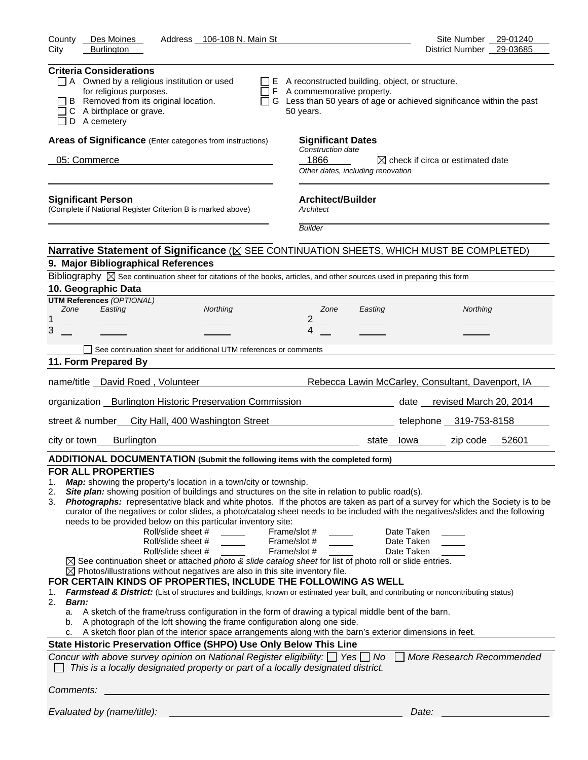| Address 106-108 N. Main St<br>Des Moines<br>County                                                                                                                                                                                                                                                                                                                                                                                                                                                                                                                                                                                                                                                                                                                                                                                                                                                                                                                                                                                                                                                                                                                                                                                                                                                                                                                                                                                                                                                                                                                                                                                                                                                           | Site Number 29-01240                                                                                                             |
|--------------------------------------------------------------------------------------------------------------------------------------------------------------------------------------------------------------------------------------------------------------------------------------------------------------------------------------------------------------------------------------------------------------------------------------------------------------------------------------------------------------------------------------------------------------------------------------------------------------------------------------------------------------------------------------------------------------------------------------------------------------------------------------------------------------------------------------------------------------------------------------------------------------------------------------------------------------------------------------------------------------------------------------------------------------------------------------------------------------------------------------------------------------------------------------------------------------------------------------------------------------------------------------------------------------------------------------------------------------------------------------------------------------------------------------------------------------------------------------------------------------------------------------------------------------------------------------------------------------------------------------------------------------------------------------------------------------|----------------------------------------------------------------------------------------------------------------------------------|
| <b>Burlington</b><br>City                                                                                                                                                                                                                                                                                                                                                                                                                                                                                                                                                                                                                                                                                                                                                                                                                                                                                                                                                                                                                                                                                                                                                                                                                                                                                                                                                                                                                                                                                                                                                                                                                                                                                    | District Number 29-03685                                                                                                         |
| <b>Criteria Considerations</b><br>$\Box$ A Owned by a religious institution or used<br>for religious purposes.<br>F A commemorative property.<br>B Removed from its original location.<br>C A birthplace or grave.<br>50 years.<br>D A cemetery                                                                                                                                                                                                                                                                                                                                                                                                                                                                                                                                                                                                                                                                                                                                                                                                                                                                                                                                                                                                                                                                                                                                                                                                                                                                                                                                                                                                                                                              | $\Box$ E A reconstructed building, object, or structure.<br>G Less than 50 years of age or achieved significance within the past |
| Areas of Significance (Enter categories from instructions)                                                                                                                                                                                                                                                                                                                                                                                                                                                                                                                                                                                                                                                                                                                                                                                                                                                                                                                                                                                                                                                                                                                                                                                                                                                                                                                                                                                                                                                                                                                                                                                                                                                   | <b>Significant Dates</b>                                                                                                         |
| Construction date                                                                                                                                                                                                                                                                                                                                                                                                                                                                                                                                                                                                                                                                                                                                                                                                                                                                                                                                                                                                                                                                                                                                                                                                                                                                                                                                                                                                                                                                                                                                                                                                                                                                                            |                                                                                                                                  |
| 1866<br>05: Commerce                                                                                                                                                                                                                                                                                                                                                                                                                                                                                                                                                                                                                                                                                                                                                                                                                                                                                                                                                                                                                                                                                                                                                                                                                                                                                                                                                                                                                                                                                                                                                                                                                                                                                         | $\boxtimes$ check if circa or estimated date<br>Other dates, including renovation                                                |
| <b>Significant Person</b><br>(Complete if National Register Criterion B is marked above)<br>Architect                                                                                                                                                                                                                                                                                                                                                                                                                                                                                                                                                                                                                                                                                                                                                                                                                                                                                                                                                                                                                                                                                                                                                                                                                                                                                                                                                                                                                                                                                                                                                                                                        | <b>Architect/Builder</b>                                                                                                         |
| <b>Builder</b>                                                                                                                                                                                                                                                                                                                                                                                                                                                                                                                                                                                                                                                                                                                                                                                                                                                                                                                                                                                                                                                                                                                                                                                                                                                                                                                                                                                                                                                                                                                                                                                                                                                                                               |                                                                                                                                  |
| Narrative Statement of Significance ( $\boxtimes$ SEE CONTINUATION SHEETS, WHICH MUST BE COMPLETED)                                                                                                                                                                                                                                                                                                                                                                                                                                                                                                                                                                                                                                                                                                                                                                                                                                                                                                                                                                                                                                                                                                                                                                                                                                                                                                                                                                                                                                                                                                                                                                                                          |                                                                                                                                  |
| 9. Major Bibliographical References                                                                                                                                                                                                                                                                                                                                                                                                                                                                                                                                                                                                                                                                                                                                                                                                                                                                                                                                                                                                                                                                                                                                                                                                                                                                                                                                                                                                                                                                                                                                                                                                                                                                          |                                                                                                                                  |
| Bibliography $\boxtimes$ See continuation sheet for citations of the books, articles, and other sources used in preparing this form                                                                                                                                                                                                                                                                                                                                                                                                                                                                                                                                                                                                                                                                                                                                                                                                                                                                                                                                                                                                                                                                                                                                                                                                                                                                                                                                                                                                                                                                                                                                                                          |                                                                                                                                  |
| 10. Geographic Data                                                                                                                                                                                                                                                                                                                                                                                                                                                                                                                                                                                                                                                                                                                                                                                                                                                                                                                                                                                                                                                                                                                                                                                                                                                                                                                                                                                                                                                                                                                                                                                                                                                                                          |                                                                                                                                  |
| <b>UTM References (OPTIONAL)</b><br>Zone<br>Easting<br>Northing<br>Zone                                                                                                                                                                                                                                                                                                                                                                                                                                                                                                                                                                                                                                                                                                                                                                                                                                                                                                                                                                                                                                                                                                                                                                                                                                                                                                                                                                                                                                                                                                                                                                                                                                      | Easting<br>Northing                                                                                                              |
| 2<br>1                                                                                                                                                                                                                                                                                                                                                                                                                                                                                                                                                                                                                                                                                                                                                                                                                                                                                                                                                                                                                                                                                                                                                                                                                                                                                                                                                                                                                                                                                                                                                                                                                                                                                                       |                                                                                                                                  |
| 3<br>4                                                                                                                                                                                                                                                                                                                                                                                                                                                                                                                                                                                                                                                                                                                                                                                                                                                                                                                                                                                                                                                                                                                                                                                                                                                                                                                                                                                                                                                                                                                                                                                                                                                                                                       |                                                                                                                                  |
| See continuation sheet for additional UTM references or comments                                                                                                                                                                                                                                                                                                                                                                                                                                                                                                                                                                                                                                                                                                                                                                                                                                                                                                                                                                                                                                                                                                                                                                                                                                                                                                                                                                                                                                                                                                                                                                                                                                             |                                                                                                                                  |
| 11. Form Prepared By                                                                                                                                                                                                                                                                                                                                                                                                                                                                                                                                                                                                                                                                                                                                                                                                                                                                                                                                                                                                                                                                                                                                                                                                                                                                                                                                                                                                                                                                                                                                                                                                                                                                                         |                                                                                                                                  |
| name/title _David Roed, Volunteer                                                                                                                                                                                                                                                                                                                                                                                                                                                                                                                                                                                                                                                                                                                                                                                                                                                                                                                                                                                                                                                                                                                                                                                                                                                                                                                                                                                                                                                                                                                                                                                                                                                                            | Rebecca Lawin McCarley, Consultant, Davenport, IA                                                                                |
|                                                                                                                                                                                                                                                                                                                                                                                                                                                                                                                                                                                                                                                                                                                                                                                                                                                                                                                                                                                                                                                                                                                                                                                                                                                                                                                                                                                                                                                                                                                                                                                                                                                                                                              |                                                                                                                                  |
| organization __ Burlington Historic Preservation Commission ____________________                                                                                                                                                                                                                                                                                                                                                                                                                                                                                                                                                                                                                                                                                                                                                                                                                                                                                                                                                                                                                                                                                                                                                                                                                                                                                                                                                                                                                                                                                                                                                                                                                             | date revised March 20, 2014                                                                                                      |
| street & number City Hall, 400 Washington Street                                                                                                                                                                                                                                                                                                                                                                                                                                                                                                                                                                                                                                                                                                                                                                                                                                                                                                                                                                                                                                                                                                                                                                                                                                                                                                                                                                                                                                                                                                                                                                                                                                                             | telephone 319-753-8158                                                                                                           |
| <b>Burlington</b><br>city or town                                                                                                                                                                                                                                                                                                                                                                                                                                                                                                                                                                                                                                                                                                                                                                                                                                                                                                                                                                                                                                                                                                                                                                                                                                                                                                                                                                                                                                                                                                                                                                                                                                                                            | zip code 52601<br>state lowa                                                                                                     |
| ADDITIONAL DOCUMENTATION (Submit the following items with the completed form)                                                                                                                                                                                                                                                                                                                                                                                                                                                                                                                                                                                                                                                                                                                                                                                                                                                                                                                                                                                                                                                                                                                                                                                                                                                                                                                                                                                                                                                                                                                                                                                                                                |                                                                                                                                  |
| <b>FOR ALL PROPERTIES</b><br>Map: showing the property's location in a town/city or township.<br>1.<br>Site plan: showing position of buildings and structures on the site in relation to public road(s).<br>2.<br>Photographs: representative black and white photos. If the photos are taken as part of a survey for which the Society is to be<br>3.<br>curator of the negatives or color slides, a photo/catalog sheet needs to be included with the negatives/slides and the following<br>needs to be provided below on this particular inventory site:<br>Roll/slide sheet #<br>Frame/slot #<br>Roll/slide sheet #<br>Frame/slot #<br>Roll/slide sheet #<br>Frame/slot #<br>$\boxtimes$ See continuation sheet or attached photo & slide catalog sheet for list of photo roll or slide entries.<br>$\boxtimes$ Photos/illustrations without negatives are also in this site inventory file.<br>FOR CERTAIN KINDS OF PROPERTIES, INCLUDE THE FOLLOWING AS WELL<br>Farmstead & District: (List of structures and buildings, known or estimated year built, and contributing or noncontributing status)<br>1.<br>2.<br><b>Barn:</b><br>A sketch of the frame/truss configuration in the form of drawing a typical middle bent of the barn.<br>a.<br>A photograph of the loft showing the frame configuration along one side.<br>b.<br>A sketch floor plan of the interior space arrangements along with the barn's exterior dimensions in feet.<br>c.<br>State Historic Preservation Office (SHPO) Use Only Below This Line<br>Concur with above survey opinion on National Register eligibility: $\Box$ Yes $\Box$ No<br>This is a locally designated property or part of a locally designated district. | Date Taken<br>Date Taken<br>Date Taken<br>More Research Recommended                                                              |
| Comments:                                                                                                                                                                                                                                                                                                                                                                                                                                                                                                                                                                                                                                                                                                                                                                                                                                                                                                                                                                                                                                                                                                                                                                                                                                                                                                                                                                                                                                                                                                                                                                                                                                                                                                    |                                                                                                                                  |
| Evaluated by (name/title):                                                                                                                                                                                                                                                                                                                                                                                                                                                                                                                                                                                                                                                                                                                                                                                                                                                                                                                                                                                                                                                                                                                                                                                                                                                                                                                                                                                                                                                                                                                                                                                                                                                                                   | Date:                                                                                                                            |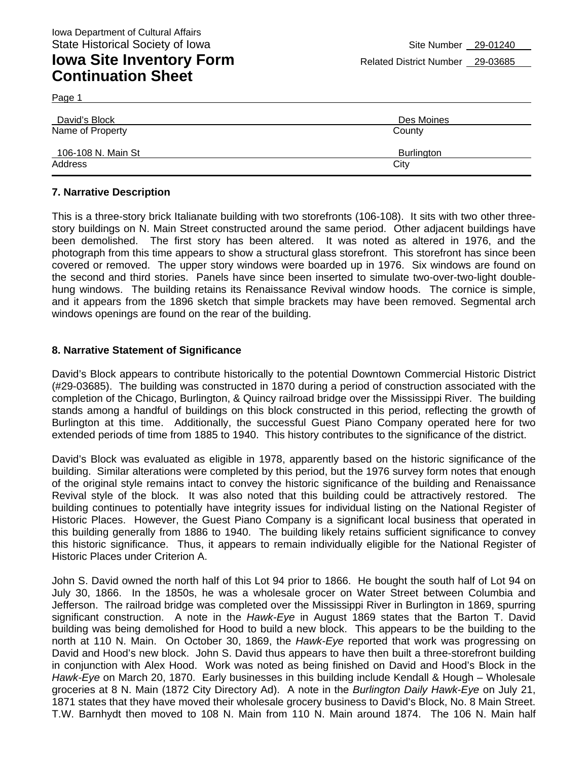Page 1

| David's Block      | Des Moines |
|--------------------|------------|
| Name of Property   | County     |
| 106-108 N. Main St | Burlington |
| Address            | City       |

#### **7. Narrative Description**

This is a three-story brick Italianate building with two storefronts (106-108). It sits with two other threestory buildings on N. Main Street constructed around the same period. Other adjacent buildings have been demolished. The first story has been altered. It was noted as altered in 1976, and the photograph from this time appears to show a structural glass storefront. This storefront has since been covered or removed. The upper story windows were boarded up in 1976. Six windows are found on the second and third stories. Panels have since been inserted to simulate two-over-two-light doublehung windows. The building retains its Renaissance Revival window hoods. The cornice is simple, and it appears from the 1896 sketch that simple brackets may have been removed. Segmental arch windows openings are found on the rear of the building.

#### **8. Narrative Statement of Significance**

David's Block appears to contribute historically to the potential Downtown Commercial Historic District (#29-03685). The building was constructed in 1870 during a period of construction associated with the completion of the Chicago, Burlington, & Quincy railroad bridge over the Mississippi River. The building stands among a handful of buildings on this block constructed in this period, reflecting the growth of Burlington at this time. Additionally, the successful Guest Piano Company operated here for two extended periods of time from 1885 to 1940. This history contributes to the significance of the district.

David's Block was evaluated as eligible in 1978, apparently based on the historic significance of the building. Similar alterations were completed by this period, but the 1976 survey form notes that enough of the original style remains intact to convey the historic significance of the building and Renaissance Revival style of the block. It was also noted that this building could be attractively restored. The building continues to potentially have integrity issues for individual listing on the National Register of Historic Places. However, the Guest Piano Company is a significant local business that operated in this building generally from 1886 to 1940. The building likely retains sufficient significance to convey this historic significance. Thus, it appears to remain individually eligible for the National Register of Historic Places under Criterion A.

John S. David owned the north half of this Lot 94 prior to 1866. He bought the south half of Lot 94 on July 30, 1866. In the 1850s, he was a wholesale grocer on Water Street between Columbia and Jefferson. The railroad bridge was completed over the Mississippi River in Burlington in 1869, spurring significant construction. A note in the *Hawk-Eye* in August 1869 states that the Barton T. David building was being demolished for Hood to build a new block. This appears to be the building to the north at 110 N. Main. On October 30, 1869, the *Hawk-Eye* reported that work was progressing on David and Hood's new block. John S. David thus appears to have then built a three-storefront building in conjunction with Alex Hood. Work was noted as being finished on David and Hood's Block in the *Hawk-Eye* on March 20, 1870. Early businesses in this building include Kendall & Hough – Wholesale groceries at 8 N. Main (1872 City Directory Ad). A note in the *Burlington Daily Hawk-Eye* on July 21, 1871 states that they have moved their wholesale grocery business to David's Block, No. 8 Main Street. T.W. Barnhydt then moved to 108 N. Main from 110 N. Main around 1874. The 106 N. Main half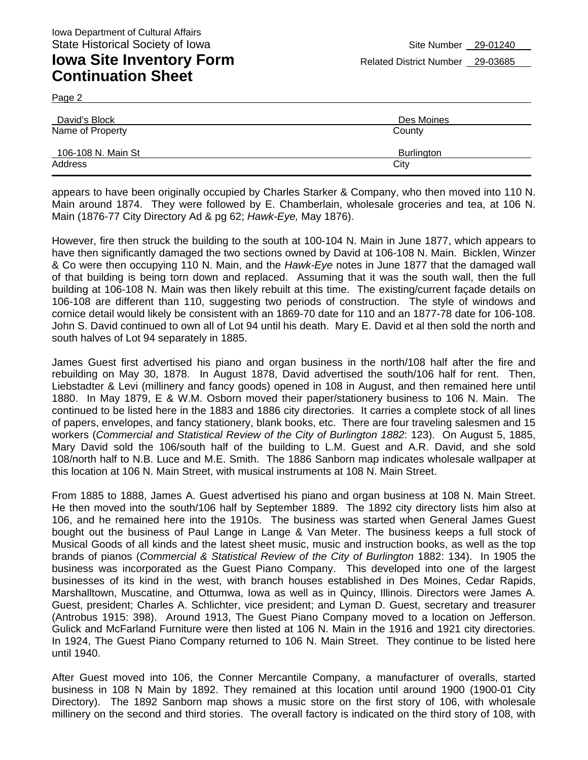Page 2

| David's Block      | Des Moines |  |
|--------------------|------------|--|
| Name of Property   | County     |  |
| 106-108 N. Main St | Burlington |  |
| Address            | City       |  |

appears to have been originally occupied by Charles Starker & Company, who then moved into 110 N. Main around 1874. They were followed by E. Chamberlain, wholesale groceries and tea, at 106 N. Main (1876-77 City Directory Ad & pg 62; *Hawk-Eye,* May 1876).

However, fire then struck the building to the south at 100-104 N. Main in June 1877, which appears to have then significantly damaged the two sections owned by David at 106-108 N. Main. Bicklen, Winzer & Co were then occupying 110 N. Main, and the *Hawk-Eye* notes in June 1877 that the damaged wall of that building is being torn down and replaced. Assuming that it was the south wall, then the full building at 106-108 N. Main was then likely rebuilt at this time. The existing/current façade details on 106-108 are different than 110, suggesting two periods of construction. The style of windows and cornice detail would likely be consistent with an 1869-70 date for 110 and an 1877-78 date for 106-108. John S. David continued to own all of Lot 94 until his death. Mary E. David et al then sold the north and south halves of Lot 94 separately in 1885.

James Guest first advertised his piano and organ business in the north/108 half after the fire and rebuilding on May 30, 1878. In August 1878, David advertised the south/106 half for rent. Then, Liebstadter & Levi (millinery and fancy goods) opened in 108 in August, and then remained here until 1880. In May 1879, E & W.M. Osborn moved their paper/stationery business to 106 N. Main. The continued to be listed here in the 1883 and 1886 city directories. It carries a complete stock of all lines of papers, envelopes, and fancy stationery, blank books, etc. There are four traveling salesmen and 15 workers (*Commercial and Statistical Review of the City of Burlington 1882*: 123). On August 5, 1885, Mary David sold the 106/south half of the building to L.M. Guest and A.R. David, and she sold 108/north half to N.B. Luce and M.E. Smith. The 1886 Sanborn map indicates wholesale wallpaper at this location at 106 N. Main Street, with musical instruments at 108 N. Main Street.

From 1885 to 1888, James A. Guest advertised his piano and organ business at 108 N. Main Street. He then moved into the south/106 half by September 1889. The 1892 city directory lists him also at 106, and he remained here into the 1910s. The business was started when General James Guest bought out the business of Paul Lange in Lange & Van Meter. The business keeps a full stock of Musical Goods of all kinds and the latest sheet music, music and instruction books, as well as the top brands of pianos (*Commercial & Statistical Review of the City of Burlington* 1882: 134). In 1905 the business was incorporated as the Guest Piano Company. This developed into one of the largest businesses of its kind in the west, with branch houses established in Des Moines, Cedar Rapids, Marshalltown, Muscatine, and Ottumwa, Iowa as well as in Quincy, Illinois. Directors were James A. Guest, president; Charles A. Schlichter, vice president; and Lyman D. Guest, secretary and treasurer (Antrobus 1915: 398). Around 1913, The Guest Piano Company moved to a location on Jefferson. Gulick and McFarland Furniture were then listed at 106 N. Main in the 1916 and 1921 city directories. In 1924, The Guest Piano Company returned to 106 N. Main Street. They continue to be listed here until 1940.

After Guest moved into 106, the Conner Mercantile Company, a manufacturer of overalls, started business in 108 N Main by 1892. They remained at this location until around 1900 (1900-01 City Directory). The 1892 Sanborn map shows a music store on the first story of 106, with wholesale millinery on the second and third stories. The overall factory is indicated on the third story of 108, with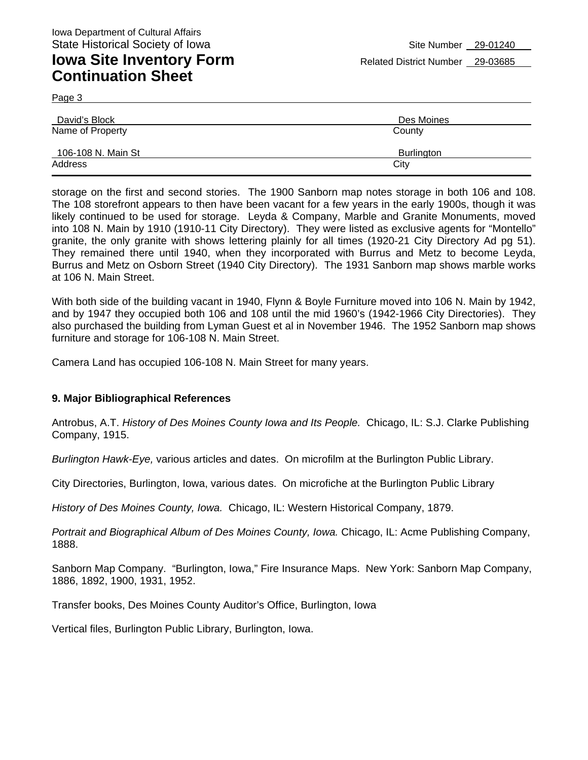Page 3

| David's Block      | Des Moines |
|--------------------|------------|
| Name of Property   | County     |
| 106-108 N. Main St | Burlington |
| Address            | City       |

storage on the first and second stories. The 1900 Sanborn map notes storage in both 106 and 108. The 108 storefront appears to then have been vacant for a few years in the early 1900s, though it was likely continued to be used for storage. Leyda & Company, Marble and Granite Monuments, moved into 108 N. Main by 1910 (1910-11 City Directory). They were listed as exclusive agents for "Montello" granite, the only granite with shows lettering plainly for all times (1920-21 City Directory Ad pg 51). They remained there until 1940, when they incorporated with Burrus and Metz to become Leyda, Burrus and Metz on Osborn Street (1940 City Directory). The 1931 Sanborn map shows marble works at 106 N. Main Street.

With both side of the building vacant in 1940, Flynn & Boyle Furniture moved into 106 N. Main by 1942, and by 1947 they occupied both 106 and 108 until the mid 1960's (1942-1966 City Directories). They also purchased the building from Lyman Guest et al in November 1946. The 1952 Sanborn map shows furniture and storage for 106-108 N. Main Street.

Camera Land has occupied 106-108 N. Main Street for many years.

#### **9. Major Bibliographical References**

Antrobus, A.T. *History of Des Moines County Iowa and Its People.* Chicago, IL: S.J. Clarke Publishing Company, 1915.

*Burlington Hawk-Eye,* various articles and dates. On microfilm at the Burlington Public Library.

City Directories, Burlington, Iowa, various dates. On microfiche at the Burlington Public Library

*History of Des Moines County, Iowa.* Chicago, IL: Western Historical Company, 1879.

*Portrait and Biographical Album of Des Moines County, Iowa.* Chicago, IL: Acme Publishing Company, 1888.

Sanborn Map Company. "Burlington, Iowa," Fire Insurance Maps. New York: Sanborn Map Company, 1886, 1892, 1900, 1931, 1952.

Transfer books, Des Moines County Auditor's Office, Burlington, Iowa

Vertical files, Burlington Public Library, Burlington, Iowa.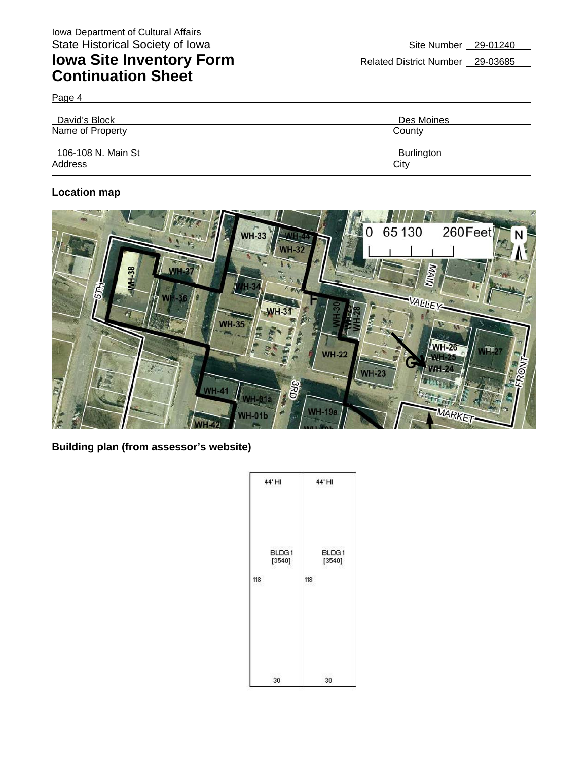Page 4

| David's Block      | Des Moines |  |  |
|--------------------|------------|--|--|
| Name of Property   | County     |  |  |
| 106-108 N. Main St | Burlington |  |  |
| Address            | City       |  |  |

#### **Location map**



**Building plan (from assessor's website)** 

|     | 44' HI          | 44'HI |                 |
|-----|-----------------|-------|-----------------|
| 118 | BLDG1<br>[3540] | 118   | BLDG1<br>[3540] |
|     | 30              | 30    |                 |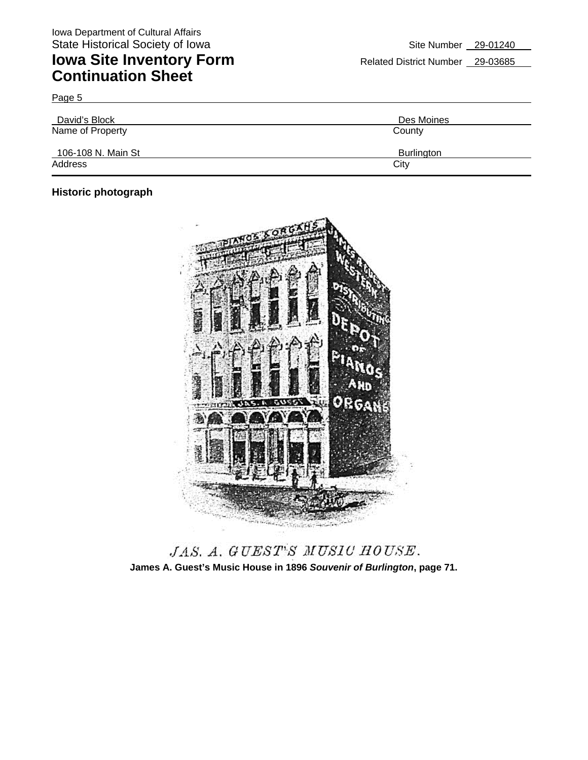| David's Block      | Des Moines |
|--------------------|------------|
| Name of Property   | County     |
| 106-108 N. Main St | Burlington |
| Address            | City       |

### **Historic photograph**

Page 5



JAS. A. GUEST'S MUSIC HOUSE. **James A. Guest's Music House in 1896** *Souvenir of Burlington***, page 71.**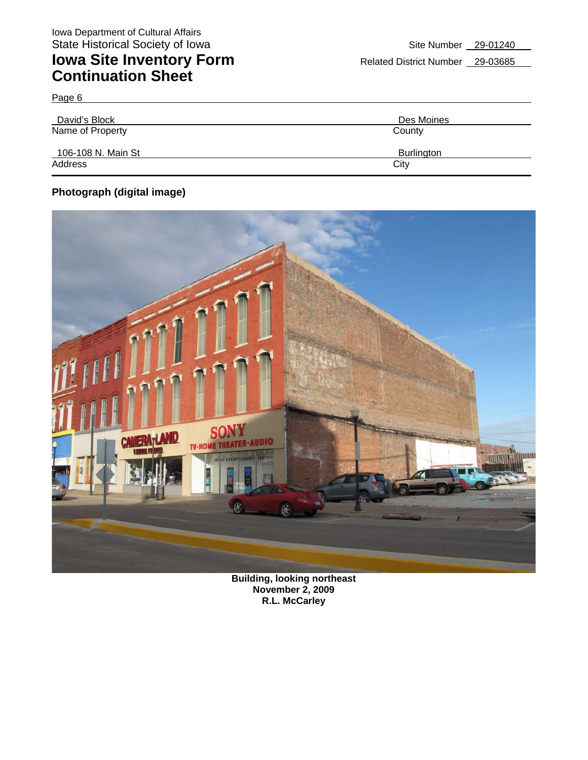| David's Block      | Des Moines |  |  |
|--------------------|------------|--|--|
| Name of Property   | County     |  |  |
| 106-108 N. Main St | Burlington |  |  |
| Address            | City       |  |  |

### **Photograph (digital image)**

Page 6



**Building, looking northeast November 2, 2009 R.L. McCarley**